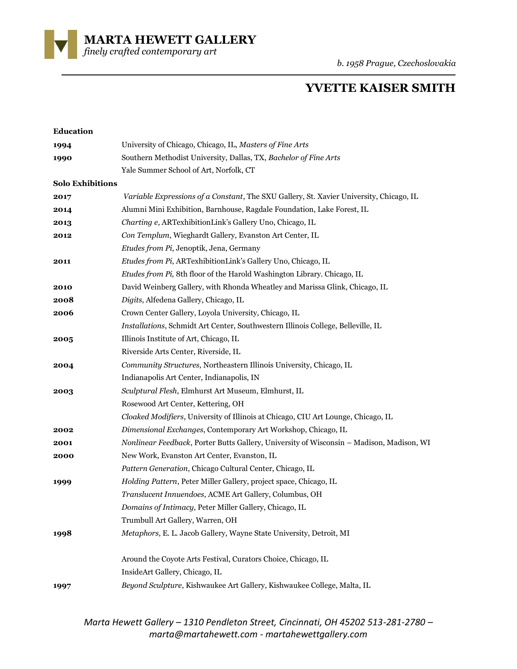**MARTA HEWETT GALLERY** 

*finely crafted contemporary art* 

# **YVETTE KAISER SMITH**

| <b>Education</b>        |                                                                                          |
|-------------------------|------------------------------------------------------------------------------------------|
| 1994                    | University of Chicago, Chicago, IL, Masters of Fine Arts                                 |
| 1990                    | Southern Methodist University, Dallas, TX, Bachelor of Fine Arts                         |
|                         | Yale Summer School of Art, Norfolk, CT                                                   |
| <b>Solo Exhibitions</b> |                                                                                          |
| 2017                    | Variable Expressions of a Constant, The SXU Gallery, St. Xavier University, Chicago, IL  |
| 2014                    | Alumni Mini Exhibition, Barnhouse, Ragdale Foundation, Lake Forest, IL                   |
| 2013                    | Charting e, ARTexhibitionLink's Gallery Uno, Chicago, IL                                 |
| 2012                    | Con Templum, Wieghardt Gallery, Evanston Art Center, IL                                  |
|                         | Etudes from Pi, Jenoptik, Jena, Germany                                                  |
| 2011                    | Etudes from Pi, ARTexhibitionLink's Gallery Uno, Chicago, IL                             |
|                         | Etudes from Pi, 8th floor of the Harold Washington Library. Chicago, IL                  |
| 2010                    | David Weinberg Gallery, with Rhonda Wheatley and Marissa Glink, Chicago, IL              |
| 2008                    | Digits, Alfedena Gallery, Chicago, IL                                                    |
| 2006                    | Crown Center Gallery, Loyola University, Chicago, IL                                     |
|                         | Installations, Schmidt Art Center, Southwestern Illinois College, Belleville, IL         |
| 2005                    | Illinois Institute of Art, Chicago, IL                                                   |
|                         | Riverside Arts Center, Riverside, IL                                                     |
| 2004                    | Community Structures, Northeastern Illinois University, Chicago, IL                      |
|                         | Indianapolis Art Center, Indianapolis, IN                                                |
| 2003                    | Sculptural Flesh, Elmhurst Art Museum, Elmhurst, IL                                      |
|                         | Rosewood Art Center, Kettering, OH                                                       |
|                         | Cloaked Modifiers, University of Illinois at Chicago, CIU Art Lounge, Chicago, IL        |
| 2002                    | Dimensional Exchanges, Contemporary Art Workshop, Chicago, IL                            |
| 2001                    | Nonlinear Feedback, Porter Butts Gallery, University of Wisconsin - Madison, Madison, WI |
| 2000                    | New Work, Evanston Art Center, Evanston, IL                                              |
|                         | Pattern Generation, Chicago Cultural Center, Chicago, IL                                 |
| 1999                    | Holding Pattern, Peter Miller Gallery, project space, Chicago, IL                        |
|                         | Translucent Innuendoes, ACME Art Gallery, Columbus, OH                                   |
|                         | Domains of Intimacy, Peter Miller Gallery, Chicago, IL                                   |
|                         | Trumbull Art Gallery, Warren, OH                                                         |
| 1998                    | Metaphors, E. L. Jacob Gallery, Wayne State University, Detroit, MI                      |
|                         | Around the Coyote Arts Festival, Curators Choice, Chicago, IL                            |
|                         | InsideArt Gallery, Chicago, IL                                                           |
| 1997                    | Beyond Sculpture, Kishwaukee Art Gallery, Kishwaukee College, Malta, IL                  |
|                         |                                                                                          |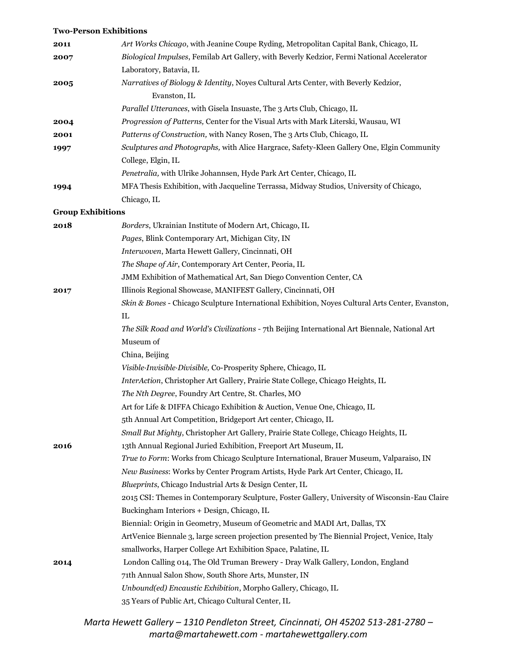#### **Two-Person Exhibitions**

| 2011                     | Art Works Chicago, with Jeanine Coupe Ryding, Metropolitan Capital Bank, Chicago, IL                |
|--------------------------|-----------------------------------------------------------------------------------------------------|
| 2007                     | Biological Impulses, Femilab Art Gallery, with Beverly Kedzior, Fermi National Accelerator          |
|                          | Laboratory, Batavia, IL                                                                             |
| 2005                     | Narratives of Biology & Identity, Noyes Cultural Arts Center, with Beverly Kedzior,<br>Evanston, IL |
|                          | Parallel Utterances, with Gisela Insuaste, The 3 Arts Club, Chicago, IL                             |
| 2004                     | Progression of Patterns, Center for the Visual Arts with Mark Literski, Wausau, WI                  |
| 2001                     | Patterns of Construction, with Nancy Rosen, The 3 Arts Club, Chicago, IL                            |
| 1997                     | Sculptures and Photographs, with Alice Hargrace, Safety-Kleen Gallery One, Elgin Community          |
|                          | College, Elgin, IL                                                                                  |
|                          | Penetralia, with Ulrike Johannsen, Hyde Park Art Center, Chicago, IL                                |
| 1994                     | MFA Thesis Exhibition, with Jacqueline Terrassa, Midway Studios, University of Chicago,             |
|                          | Chicago, IL                                                                                         |
| <b>Group Exhibitions</b> |                                                                                                     |
| 2018                     | Borders, Ukrainian Institute of Modern Art, Chicago, IL                                             |
|                          | Pages, Blink Contemporary Art, Michigan City, IN                                                    |
|                          | Interwoven, Marta Hewett Gallery, Cincinnati, OH                                                    |
|                          | The Shape of Air, Contemporary Art Center, Peoria, IL                                               |
|                          | JMM Exhibition of Mathematical Art, San Diego Convention Center, CA                                 |
| 2017                     | Illinois Regional Showcase, MANIFEST Gallery, Cincinnati, OH                                        |
|                          | Skin & Bones - Chicago Sculpture International Exhibition, Noyes Cultural Arts Center, Evanston,    |
|                          | IL                                                                                                  |
|                          | The Silk Road and World's Civilizations - 7th Beijing International Art Biennale, National Art      |
|                          | Museum of                                                                                           |
|                          | China, Beijing                                                                                      |
|                          | Visible-Invisible-Divisible, Co-Prosperity Sphere, Chicago, IL                                      |
|                          | InterAction, Christopher Art Gallery, Prairie State College, Chicago Heights, IL                    |
|                          | The Nth Degree, Foundry Art Centre, St. Charles, MO                                                 |
|                          | Art for Life & DIFFA Chicago Exhibition & Auction, Venue One, Chicago, IL                           |
|                          | 5th Annual Art Competition, Bridgeport Art center, Chicago, IL                                      |
|                          | Small But Mighty, Christopher Art Gallery, Prairie State College, Chicago Heights, IL               |
| 2016                     | 13th Annual Regional Juried Exhibition, Freeport Art Museum, IL                                     |
|                          | True to Form: Works from Chicago Sculpture International, Brauer Museum, Valparaiso, IN             |
|                          | New Business: Works by Center Program Artists, Hyde Park Art Center, Chicago, IL                    |
|                          | Blueprints, Chicago Industrial Arts & Design Center, IL                                             |
|                          | 2015 CSI: Themes in Contemporary Sculpture, Foster Gallery, University of Wisconsin-Eau Claire      |
|                          | Buckingham Interiors + Design, Chicago, IL                                                          |
|                          | Biennial: Origin in Geometry, Museum of Geometric and MADI Art, Dallas, TX                          |
|                          | ArtVenice Biennale 3, large screen projection presented by The Biennial Project, Venice, Italy      |
|                          | smallworks, Harper College Art Exhibition Space, Palatine, IL                                       |
| 2014                     | London Calling 014, The Old Truman Brewery - Dray Walk Gallery, London, England                     |
|                          | 71th Annual Salon Show, South Shore Arts, Munster, IN                                               |
|                          | Unbound(ed) Encaustic Exhibition, Morpho Gallery, Chicago, IL                                       |
|                          | 35 Years of Public Art, Chicago Cultural Center, IL                                                 |
|                          |                                                                                                     |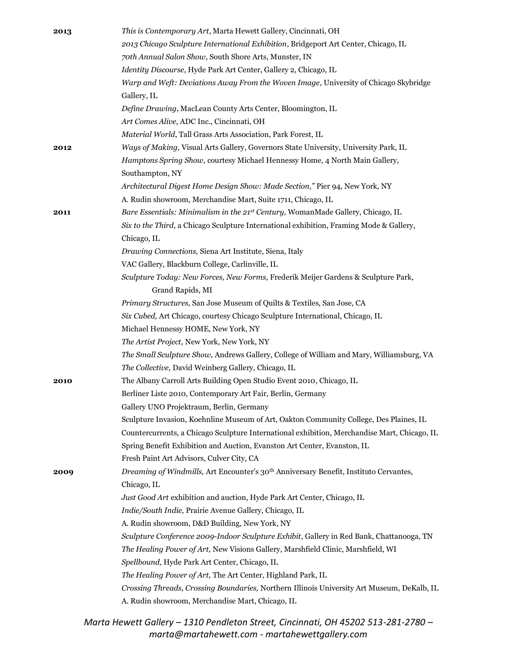| 2013 | This is Contemporary Art, Marta Hewett Gallery, Cincinnati, OH                                    |
|------|---------------------------------------------------------------------------------------------------|
|      | 2013 Chicago Sculpture International Exhibition, Bridgeport Art Center, Chicago, IL               |
|      | 70th Annual Salon Show, South Shore Arts, Munster, IN                                             |
|      | Identity Discourse, Hyde Park Art Center, Gallery 2, Chicago, IL                                  |
|      | Warp and Weft: Deviations Away From the Woven Image, University of Chicago Skybridge              |
|      | Gallery, IL                                                                                       |
|      | Define Drawing, MacLean County Arts Center, Bloomington, IL                                       |
|      | Art Comes Alive, ADC Inc., Cincinnati, OH                                                         |
|      | Material World, Tall Grass Arts Association, Park Forest, IL                                      |
| 2012 | Ways of Making, Visual Arts Gallery, Governors State University, University Park, IL              |
|      | Hamptons Spring Show, courtesy Michael Hennessy Home, 4 North Main Gallery,                       |
|      | Southampton, NY                                                                                   |
|      | Architectural Digest Home Design Show: Made Section," Pier 94, New York, NY                       |
|      | A. Rudin showroom, Merchandise Mart, Suite 1711, Chicago, IL                                      |
| 2011 | Bare Essentials: Minimalism in the 21st Century, WomanMade Gallery, Chicago, IL                   |
|      | Six to the Third, a Chicago Sculpture International exhibition, Framing Mode & Gallery,           |
|      | Chicago, IL                                                                                       |
|      | Drawing Connections, Siena Art Institute, Siena, Italy                                            |
|      | VAC Gallery, Blackburn College, Carlinville, IL                                                   |
|      | Sculpture Today: New Forces, New Forms, Frederik Meijer Gardens & Sculpture Park,                 |
|      | Grand Rapids, MI                                                                                  |
|      | Primary Structures, San Jose Museum of Quilts & Textiles, San Jose, CA                            |
|      | Six Cubed, Art Chicago, courtesy Chicago Sculpture International, Chicago, IL                     |
|      | Michael Hennessy HOME, New York, NY                                                               |
|      | The Artist Project, New York, New York, NY                                                        |
|      | The Small Sculpture Show, Andrews Gallery, College of William and Mary, Williamsburg, VA          |
|      | The Collective, David Weinberg Gallery, Chicago, IL                                               |
| 2010 | The Albany Carroll Arts Building Open Studio Event 2010, Chicago, IL                              |
|      | Berliner Liste 2010, Contemporary Art Fair, Berlin, Germany                                       |
|      | Gallery UNO Projektraum, Berlin, Germany                                                          |
|      | Sculpture Invasion, Koehnline Museum of Art, Oakton Community College, Des Plaines, IL            |
|      | Countercurrents, a Chicago Sculpture International exhibition, Merchandise Mart, Chicago, IL      |
|      | Spring Benefit Exhibition and Auction, Evanston Art Center, Evanston, IL                          |
|      | Fresh Paint Art Advisors, Culver City, CA                                                         |
| 2009 | Dreaming of Windmills, Art Encounter's 30 <sup>th</sup> Anniversary Benefit, Instituto Cervantes, |
|      | Chicago, IL                                                                                       |
|      | Just Good Art exhibition and auction, Hyde Park Art Center, Chicago, IL                           |
|      | Indie/South Indie, Prairie Avenue Gallery, Chicago, IL                                            |
|      | A. Rudin showroom, D&D Building, New York, NY                                                     |
|      | Sculpture Conference 2009-Indoor Sculpture Exhibit, Gallery in Red Bank, Chattanooga, TN          |
|      | The Healing Power of Art, New Visions Gallery, Marshfield Clinic, Marshfield, WI                  |
|      | Spellbound, Hyde Park Art Center, Chicago, IL                                                     |
|      | The Healing Power of Art, The Art Center, Highland Park, IL                                       |
|      | Crossing Threads, Crossing Boundaries, Northern Illinois University Art Museum, DeKalb, IL        |
|      | A. Rudin showroom, Merchandise Mart, Chicago, IL                                                  |
|      |                                                                                                   |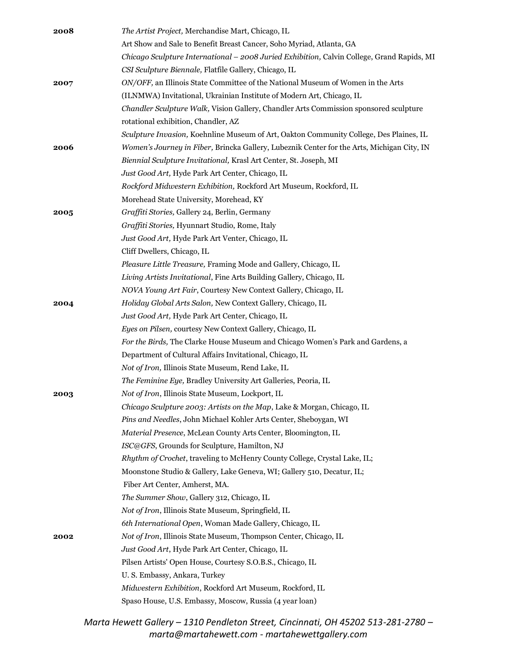| 2008 | The Artist Project, Merchandise Mart, Chicago, IL                                          |
|------|--------------------------------------------------------------------------------------------|
|      | Art Show and Sale to Benefit Breast Cancer, Soho Myriad, Atlanta, GA                       |
|      | Chicago Sculpture International - 2008 Juried Exhibition, Calvin College, Grand Rapids, MI |
|      | CSI Sculpture Biennale, Flatfile Gallery, Chicago, IL                                      |
| 2007 | ON/OFF, an Illinois State Committee of the National Museum of Women in the Arts            |
|      | (ILNMWA) Invitational, Ukrainian Institute of Modern Art, Chicago, IL                      |
|      | Chandler Sculpture Walk, Vision Gallery, Chandler Arts Commission sponsored sculpture      |
|      | rotational exhibition, Chandler, AZ                                                        |
|      | Sculpture Invasion, Koehnline Museum of Art, Oakton Community College, Des Plaines, IL     |
| 2006 | Women's Journey in Fiber, Brincka Gallery, Lubeznik Center for the Arts, Michigan City, IN |
|      | Biennial Sculpture Invitational, Krasl Art Center, St. Joseph, MI                          |
|      | Just Good Art, Hyde Park Art Center, Chicago, IL                                           |
|      | Rockford Midwestern Exhibition, Rockford Art Museum, Rockford, IL                          |
|      | Morehead State University, Morehead, KY                                                    |
| 2005 | Graffiti Stories, Gallery 24, Berlin, Germany                                              |
|      | Graffiti Stories, Hyunnart Studio, Rome, Italy                                             |
|      | Just Good Art, Hyde Park Art Venter, Chicago, IL                                           |
|      | Cliff Dwellers, Chicago, IL                                                                |
|      | Pleasure Little Treasure, Framing Mode and Gallery, Chicago, IL                            |
|      | Living Artists Invitational, Fine Arts Building Gallery, Chicago, IL                       |
|      | NOVA Young Art Fair, Courtesy New Context Gallery, Chicago, IL                             |
| 2004 | Holiday Global Arts Salon, New Context Gallery, Chicago, IL                                |
|      | Just Good Art, Hyde Park Art Center, Chicago, IL                                           |
|      | Eyes on Pilsen, courtesy New Context Gallery, Chicago, IL                                  |
|      | For the Birds, The Clarke House Museum and Chicago Women's Park and Gardens, a             |
|      | Department of Cultural Affairs Invitational, Chicago, IL                                   |
|      | Not of Iron, Illinois State Museum, Rend Lake, IL                                          |
|      | The Feminine Eye, Bradley University Art Galleries, Peoria, IL                             |
| 2003 | Not of Iron, Illinois State Museum, Lockport, IL                                           |
|      | Chicago Sculpture 2003: Artists on the Map, Lake & Morgan, Chicago, IL                     |
|      | Pins and Needles, John Michael Kohler Arts Center, Sheboygan, WI                           |
|      | Material Presence, McLean County Arts Center, Bloomington, IL                              |
|      | ISC@GFS, Grounds for Sculpture, Hamilton, NJ                                               |
|      | Rhythm of Crochet, traveling to McHenry County College, Crystal Lake, IL;                  |
|      | Moonstone Studio & Gallery, Lake Geneva, WI; Gallery 510, Decatur, IL;                     |
|      | Fiber Art Center, Amherst, MA.                                                             |
|      | The Summer Show, Gallery 312, Chicago, IL                                                  |
|      | Not of Iron, Illinois State Museum, Springfield, IL                                        |
|      | 6th International Open, Woman Made Gallery, Chicago, IL                                    |
| 2002 | Not of Iron, Illinois State Museum, Thompson Center, Chicago, IL                           |
|      | Just Good Art, Hyde Park Art Center, Chicago, IL                                           |
|      | Pilsen Artists' Open House, Courtesy S.O.B.S., Chicago, IL                                 |
|      | U.S. Embassy, Ankara, Turkey                                                               |
|      | Midwestern Exhibition, Rockford Art Museum, Rockford, IL                                   |
|      | Spaso House, U.S. Embassy, Moscow, Russia (4 year loan)                                    |
|      |                                                                                            |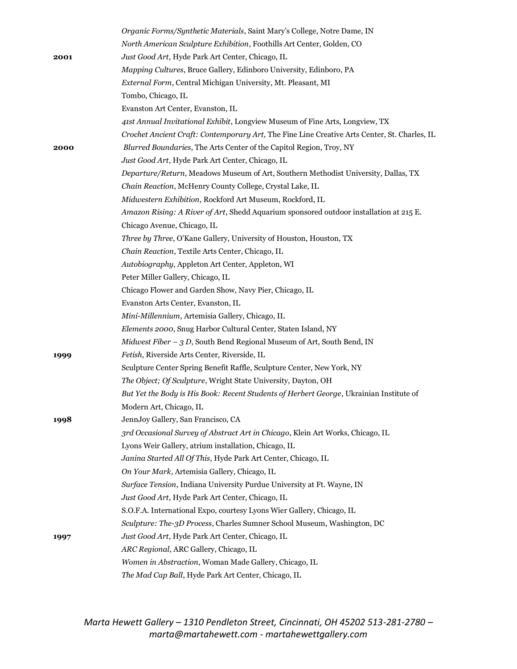|      | <i>Organic Forms/Synthetic Materials, Saint Mary's College, Notre Dame, IN</i>               |
|------|----------------------------------------------------------------------------------------------|
|      | North American Sculpture Exhibition, Foothills Art Center, Golden, CO                        |
| 2001 | Just Good Art, Hyde Park Art Center, Chicago, IL                                             |
|      | Mapping Cultures, Bruce Gallery, Edinboro University, Edinboro, PA                           |
|      | External Form, Central Michigan University, Mt. Pleasant, MI                                 |
|      | Tombo, Chicago, IL                                                                           |
|      | Evanston Art Center, Evanston, IL                                                            |
|      | 41st Annual Invitational Exhibit, Longview Museum of Fine Arts, Longview, TX                 |
|      | Crochet Ancient Craft: Contemporary Art, The Fine Line Creative Arts Center, St. Charles, IL |
| 2000 | Blurred Boundaries, The Arts Center of the Capitol Region, Troy, NY                          |
|      | Just Good Art, Hyde Park Art Center, Chicago, IL                                             |
|      | Departure/Return, Meadows Museum of Art, Southern Methodist University, Dallas, TX           |
|      | Chain Reaction, McHenry County College, Crystal Lake, IL                                     |
|      | Midwestern Exhibition, Rockford Art Museum, Rockford, IL                                     |
|      | Amazon Rising: A River of Art, Shedd Aquarium sponsored outdoor installation at 215 E.       |
|      | Chicago Avenue, Chicago, IL                                                                  |
|      | Three by Three, O'Kane Gallery, University of Houston, Houston, TX                           |
|      | Chain Reaction, Textile Arts Center, Chicago, IL                                             |
|      | Autobiography, Appleton Art Center, Appleton, WI                                             |
|      | Peter Miller Gallery, Chicago, IL                                                            |
|      | Chicago Flower and Garden Show, Navy Pier, Chicago, IL                                       |
|      | Evanston Arts Center, Evanston, IL                                                           |
|      | Mini-Millennium, Artemisia Gallery, Chicago, IL                                              |
|      | Elements 2000, Snug Harbor Cultural Center, Staten Island, NY                                |
|      | Midwest Fiber $-3 D$ , South Bend Regional Museum of Art, South Bend, IN                     |
| 1999 | Fetish, Riverside Arts Center, Riverside, IL                                                 |
|      | Sculpture Center Spring Benefit Raffle, Sculpture Center, New York, NY                       |
|      | The Object; Of Sculpture, Wright State University, Dayton, OH                                |
|      | But Yet the Body is His Book: Recent Students of Herbert George, Ukrainian Institute of      |
|      | Modern Art, Chicago, IL                                                                      |
| 1998 | JennJoy Gallery, San Francisco, CA                                                           |
|      | 3rd Occasional Survey of Abstract Art in Chicago, Klein Art Works, Chicago, IL               |
|      | Lyons Weir Gallery, atrium installation, Chicago, IL                                         |
|      | Janina Started All Of This, Hyde Park Art Center, Chicago, IL                                |
|      | On Your Mark, Artemisia Gallery, Chicago, IL                                                 |
|      | Surface Tension, Indiana University Purdue University at Ft. Wayne, IN                       |
|      | Just Good Art, Hyde Park Art Center, Chicago, IL                                             |
|      | S.O.F.A. International Expo, courtesy Lyons Wier Gallery, Chicago, IL                        |
|      | Sculpture: The-3D Process, Charles Sumner School Museum, Washington, DC                      |
| 1997 | Just Good Art, Hyde Park Art Center, Chicago, IL                                             |
|      | ARC Regional, ARC Gallery, Chicago, IL                                                       |
|      | Women in Abstraction, Woman Made Gallery, Chicago, IL                                        |
|      | The Mad Cap Ball, Hyde Park Art Center, Chicago, IL                                          |